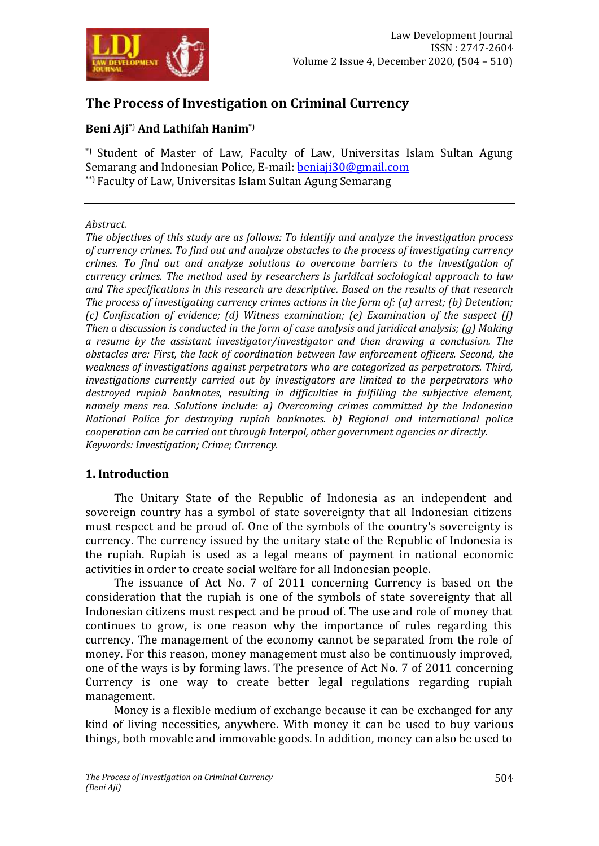

# **The Process of Investigation on Criminal Currency**

# **Beni Aji**\*) **And Lathifah Hanim**\*)

\*) Student of Master of Law, Faculty of Law, Universitas Islam Sultan Agung Semarang and Indonesian Police, E-mail: **beniaji30@gmail.com** \*\*) Faculty of Law, Universitas Islam Sultan Agung Semarang

#### *Abstract.*

*The objectives of this study are as follows: To identify and analyze the investigation process of currency crimes. To find out and analyze obstacles to the process of investigating currency crimes. To find out and analyze solutions to overcome barriers to the investigation of currency crimes. The method used by researchers is juridical sociological approach to law and The specifications in this research are descriptive. Based on the results of that research The process of investigating currency crimes actions in the form of: (a) arrest; (b) Detention; (c) Confiscation of evidence; (d) Witness examination; (e) Examination of the suspect (f) Then a discussion is conducted in the form of case analysis and juridical analysis; (g) Making a resume by the assistant investigator/investigator and then drawing a conclusion. The obstacles are: First, the lack of coordination between law enforcement officers. Second, the weakness of investigations against perpetrators who are categorized as perpetrators. Third, investigations currently carried out by investigators are limited to the perpetrators who destroyed rupiah banknotes, resulting in difficulties in fulfilling the subjective element, namely mens rea. Solutions include: a) Overcoming crimes committed by the Indonesian National Police for destroying rupiah banknotes. b) Regional and international police cooperation can be carried out through Interpol, other government agencies or directly. Keywords: Investigation; Crime; Currency.*

## **1. Introduction**

The Unitary State of the Republic of Indonesia as an independent and sovereign country has a symbol of state sovereignty that all Indonesian citizens must respect and be proud of. One of the symbols of the country's sovereignty is currency. The currency issued by the unitary state of the Republic of Indonesia is the rupiah. Rupiah is used as a legal means of payment in national economic activities in order to create social welfare for all Indonesian people.

The issuance of Act No. 7 of 2011 concerning Currency is based on the consideration that the rupiah is one of the symbols of state sovereignty that all Indonesian citizens must respect and be proud of. The use and role of money that continues to grow, is one reason why the importance of rules regarding this currency. The management of the economy cannot be separated from the role of money. For this reason, money management must also be continuously improved, one of the ways is by forming laws. The presence of Act No. 7 of 2011 concerning Currency is one way to create better legal regulations regarding rupiah management.

Money is a flexible medium of exchange because it can be exchanged for any kind of living necessities, anywhere. With money it can be used to buy various things, both movable and immovable goods. In addition, money can also be used to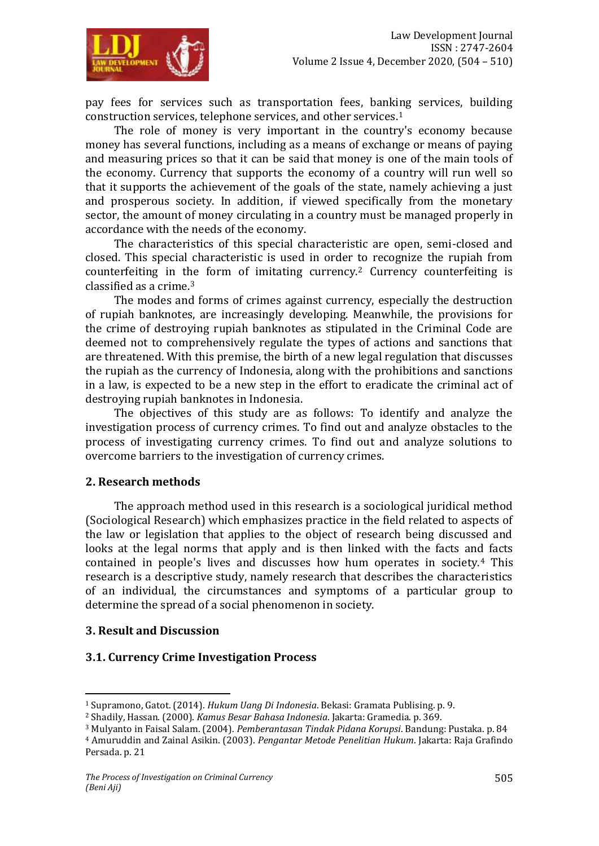

pay fees for services such as transportation fees, banking services, building construction services, telephone services, and other services.<sup>1</sup>

The role of money is very important in the country's economy because money has several functions, including as a means of exchange or means of paying and measuring prices so that it can be said that money is one of the main tools of the economy. Currency that supports the economy of a country will run well so that it supports the achievement of the goals of the state, namely achieving a just and prosperous society. In addition, if viewed specifically from the monetary sector, the amount of money circulating in a country must be managed properly in accordance with the needs of the economy.

The characteristics of this special characteristic are open, semi-closed and closed. This special characteristic is used in order to recognize the rupiah from counterfeiting in the form of imitating currency.<sup>2</sup> Currency counterfeiting is classified as a crime.<sup>3</sup>

The modes and forms of crimes against currency, especially the destruction of rupiah banknotes, are increasingly developing. Meanwhile, the provisions for the crime of destroying rupiah banknotes as stipulated in the Criminal Code are deemed not to comprehensively regulate the types of actions and sanctions that are threatened. With this premise, the birth of a new legal regulation that discusses the rupiah as the currency of Indonesia, along with the prohibitions and sanctions in a law, is expected to be a new step in the effort to eradicate the criminal act of destroying rupiah banknotes in Indonesia.

The objectives of this study are as follows: To identify and analyze the investigation process of currency crimes. To find out and analyze obstacles to the process of investigating currency crimes. To find out and analyze solutions to overcome barriers to the investigation of currency crimes.

#### **2. Research methods**

The approach method used in this research is a sociological juridical method (Sociological Research) which emphasizes practice in the field related to aspects of the law or legislation that applies to the object of research being discussed and looks at the legal norms that apply and is then linked with the facts and facts contained in people's lives and discusses how hum operates in society.<sup>4</sup> This research is a descriptive study, namely research that describes the characteristics of an individual, the circumstances and symptoms of a particular group to determine the spread of a social phenomenon in society.

#### **3. Result and Discussion**

 $\overline{a}$ 

## **3.1. Currency Crime Investigation Process**

<sup>1</sup> Supramono, Gatot. (2014). *Hukum Uang Di Indonesia*. Bekasi: Gramata Publising. p. 9.

<sup>2</sup> Shadily, Hassan. (2000). *Kamus Besar Bahasa Indonesia*. Jakarta: Gramedia. p. 369.

<sup>3</sup> Mulyanto in Faisal Salam. (2004). *Pemberantasan Tindak Pidana Korupsi*. Bandung: Pustaka. p. 84

<sup>4</sup> Amuruddin and Zainal Asikin. (2003). *Pengantar Metode Penelitian Hukum*. Jakarta: Raja Grafindo Persada. p. 21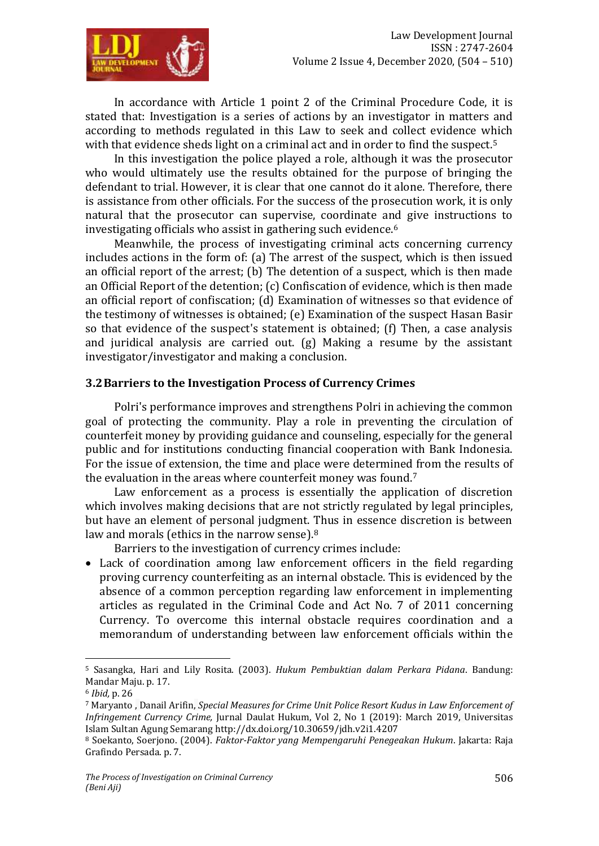

In accordance with Article 1 point 2 of the Criminal Procedure Code, it is stated that: Investigation is a series of actions by an investigator in matters and according to methods regulated in this Law to seek and collect evidence which with that evidence sheds light on a criminal act and in order to find the suspect.<sup>5</sup>

In this investigation the police played a role, although it was the prosecutor who would ultimately use the results obtained for the purpose of bringing the defendant to trial. However, it is clear that one cannot do it alone. Therefore, there is assistance from other officials. For the success of the prosecution work, it is only natural that the prosecutor can supervise, coordinate and give instructions to investigating officials who assist in gathering such evidence.<sup>6</sup>

Meanwhile, the process of investigating criminal acts concerning currency includes actions in the form of: (a) The arrest of the suspect, which is then issued an official report of the arrest; (b) The detention of a suspect, which is then made an Official Report of the detention; (c) Confiscation of evidence, which is then made an official report of confiscation; (d) Examination of witnesses so that evidence of the testimony of witnesses is obtained; (e) Examination of the suspect Hasan Basir so that evidence of the suspect's statement is obtained; (f) Then, a case analysis and juridical analysis are carried out. (g) Making a resume by the assistant investigator/investigator and making a conclusion.

## **3.2Barriers to the Investigation Process of Currency Crimes**

Polri's performance improves and strengthens Polri in achieving the common goal of protecting the community. Play a role in preventing the circulation of counterfeit money by providing guidance and counseling, especially for the general public and for institutions conducting financial cooperation with Bank Indonesia. For the issue of extension, the time and place were determined from the results of the evaluation in the areas where counterfeit money was found.<sup>7</sup>

Law enforcement as a process is essentially the application of discretion which involves making decisions that are not strictly regulated by legal principles, but have an element of personal judgment. Thus in essence discretion is between law and morals (ethics in the narrow sense).<sup>8</sup>

Barriers to the investigation of currency crimes include:

 Lack of coordination among law enforcement officers in the field regarding proving currency counterfeiting as an internal obstacle. This is evidenced by the absence of a common perception regarding law enforcement in implementing articles as regulated in the Criminal Code and Act No. 7 of 2011 concerning Currency. To overcome this internal obstacle requires coordination and a memorandum of understanding between law enforcement officials within the

 $\overline{a}$ <sup>5</sup> Sasangka, Hari and Lily Rosita. (2003). *Hukum Pembuktian dalam Perkara Pidana*. Bandung: Mandar Maju. p. 17.

<sup>6</sup> *Ibid,* p. 26

<sup>7</sup> [Maryanto ,](https://moraref.kemenag.go.id/users/author/98810827380915158) [Danail Arifin,](https://moraref.kemenag.go.id/users/author/98810827380915432) *Special Measures for Crime Unit Police Resort Kudus in Law Enforcement of Infringement Currency Crime,* [Jurnal](https://moraref.kemenag.go.id/archives/journal/98810827380914931) Daulat Hukum, [Vol 2, No 1 \(2019\): March 2019,](https://moraref.kemenag.go.id/archives/journal/98810827380914931?issue=Vol+2%2C+No+1+%282019%29+%3A+March+2019) Universitas Islam Sultan Agung Semarang<http://dx.doi.org/10.30659/jdh.v2i1.4207>

<sup>8</sup> Soekanto, Soerjono. (2004). *Faktor-Faktor yang Mempengaruhi Penegeakan Hukum*. Jakarta: Raja Grafindo Persada. p. 7.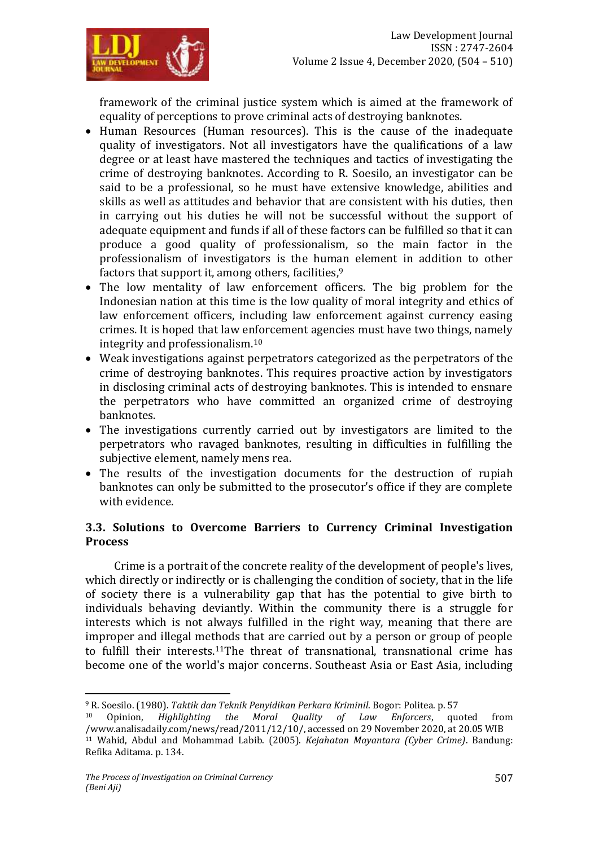

framework of the criminal justice system which is aimed at the framework of equality of perceptions to prove criminal acts of destroying banknotes.

- Human Resources (Human resources). This is the cause of the inadequate quality of investigators. Not all investigators have the qualifications of a law degree or at least have mastered the techniques and tactics of investigating the crime of destroying banknotes. According to R. Soesilo, an investigator can be said to be a professional, so he must have extensive knowledge, abilities and skills as well as attitudes and behavior that are consistent with his duties, then in carrying out his duties he will not be successful without the support of adequate equipment and funds if all of these factors can be fulfilled so that it can produce a good quality of professionalism, so the main factor in the professionalism of investigators is the human element in addition to other factors that support it, among others, facilities,<sup>9</sup>
- The low mentality of law enforcement officers. The big problem for the Indonesian nation at this time is the low quality of moral integrity and ethics of law enforcement officers, including law enforcement against currency easing crimes. It is hoped that law enforcement agencies must have two things, namely integrity and professionalism.<sup>10</sup>
- Weak investigations against perpetrators categorized as the perpetrators of the crime of destroying banknotes. This requires proactive action by investigators in disclosing criminal acts of destroying banknotes. This is intended to ensnare the perpetrators who have committed an organized crime of destroying banknotes.
- The investigations currently carried out by investigators are limited to the perpetrators who ravaged banknotes, resulting in difficulties in fulfilling the subjective element, namely mens rea.
- The results of the investigation documents for the destruction of rupiah banknotes can only be submitted to the prosecutor's office if they are complete with evidence.

## **3.3. Solutions to Overcome Barriers to Currency Criminal Investigation Process**

Crime is a portrait of the concrete reality of the development of people's lives, which directly or indirectly or is challenging the condition of society, that in the life of society there is a vulnerability gap that has the potential to give birth to individuals behaving deviantly. Within the community there is a struggle for interests which is not always fulfilled in the right way, meaning that there are improper and illegal methods that are carried out by a person or group of people to fulfill their interests.11The threat of transnational, transnational crime has become one of the world's major concerns. Southeast Asia or East Asia, including

 $\overline{a}$ <sup>9</sup> R. Soesilo. (1980). *Taktik dan Teknik Penyidikan Perkara Kriminil*. Bogor: Politea. p. 57

<sup>10</sup> Opinion, *Highlighting the Moral Quality of Law Enforcers*, quoted from /www.analisadaily.com/news/read/2011/12/10/, accessed on 29 November 2020, at 20.05 WIB <sup>11</sup> Wahid, Abdul and Mohammad Labib. (2005). *Kejahatan Mayantara (Cyber Crime)*. Bandung: Refika Aditama. p. 134.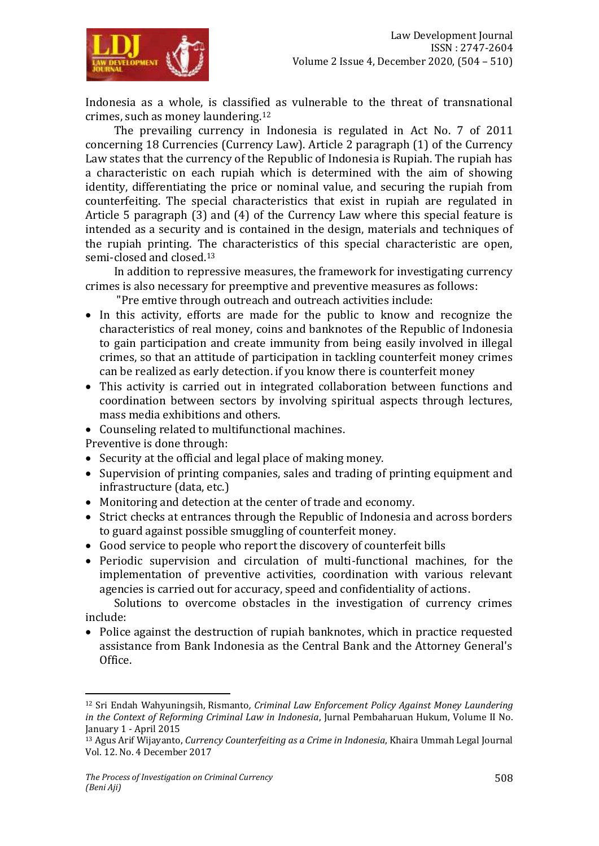

Indonesia as a whole, is classified as vulnerable to the threat of transnational crimes, such as money laundering.<sup>12</sup>

The prevailing currency in Indonesia is regulated in Act No. 7 of 2011 concerning 18 Currencies (Currency Law). Article 2 paragraph (1) of the Currency Law states that the currency of the Republic of Indonesia is Rupiah. The rupiah has a characteristic on each rupiah which is determined with the aim of showing identity, differentiating the price or nominal value, and securing the rupiah from counterfeiting. The special characteristics that exist in rupiah are regulated in Article 5 paragraph (3) and (4) of the Currency Law where this special feature is intended as a security and is contained in the design, materials and techniques of the rupiah printing. The characteristics of this special characteristic are open, semi-closed and closed.<sup>13</sup>

In addition to repressive measures, the framework for investigating currency crimes is also necessary for preemptive and preventive measures as follows:

"Pre emtive through outreach and outreach activities include:

- In this activity, efforts are made for the public to know and recognize the characteristics of real money, coins and banknotes of the Republic of Indonesia to gain participation and create immunity from being easily involved in illegal crimes, so that an attitude of participation in tackling counterfeit money crimes can be realized as early detection. if you know there is counterfeit money
- This activity is carried out in integrated collaboration between functions and coordination between sectors by involving spiritual aspects through lectures, mass media exhibitions and others.
- Counseling related to multifunctional machines.

Preventive is done through:

- Security at the official and legal place of making money.
- Supervision of printing companies, sales and trading of printing equipment and infrastructure (data, etc.)
- Monitoring and detection at the center of trade and economy.
- Strict checks at entrances through the Republic of Indonesia and across borders to guard against possible smuggling of counterfeit money.
- Good service to people who report the discovery of counterfeit bills
- Periodic supervision and circulation of multi-functional machines, for the implementation of preventive activities, coordination with various relevant agencies is carried out for accuracy, speed and confidentiality of actions.

Solutions to overcome obstacles in the investigation of currency crimes include:

• Police against the destruction of rupiah banknotes, which in practice requested assistance from Bank Indonesia as the Central Bank and the Attorney General's Office.

 $\overline{a}$ 

<sup>12</sup> Sri Endah Wahyuningsih, Rismanto*, Criminal Law Enforcement Policy Against Money Laundering in the Context of Reforming Criminal Law in Indonesia*, Jurnal Pembaharuan Hukum, Volume II No. January 1 - April 2015

<sup>13</sup> Agus Arif Wijayanto, *Currency Counterfeiting as a Crime in Indonesia*, Khaira Ummah Legal Journal Vol. 12. No. 4 December 2017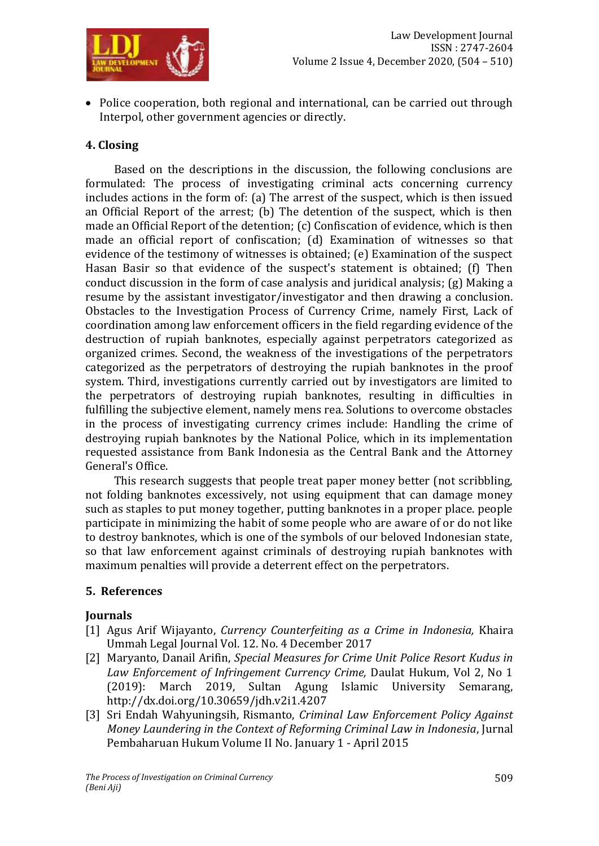

• Police cooperation, both regional and international, can be carried out through Interpol, other government agencies or directly.

## **4. Closing**

Based on the descriptions in the discussion, the following conclusions are formulated: The process of investigating criminal acts concerning currency includes actions in the form of: (a) The arrest of the suspect, which is then issued an Official Report of the arrest; (b) The detention of the suspect, which is then made an Official Report of the detention; (c) Confiscation of evidence, which is then made an official report of confiscation; (d) Examination of witnesses so that evidence of the testimony of witnesses is obtained; (e) Examination of the suspect Hasan Basir so that evidence of the suspect's statement is obtained; (f) Then conduct discussion in the form of case analysis and juridical analysis; (g) Making a resume by the assistant investigator/investigator and then drawing a conclusion. Obstacles to the Investigation Process of Currency Crime, namely First, Lack of coordination among law enforcement officers in the field regarding evidence of the destruction of rupiah banknotes, especially against perpetrators categorized as organized crimes. Second, the weakness of the investigations of the perpetrators categorized as the perpetrators of destroying the rupiah banknotes in the proof system. Third, investigations currently carried out by investigators are limited to the perpetrators of destroying rupiah banknotes, resulting in difficulties in fulfilling the subjective element, namely mens rea. Solutions to overcome obstacles in the process of investigating currency crimes include: Handling the crime of destroying rupiah banknotes by the National Police, which in its implementation requested assistance from Bank Indonesia as the Central Bank and the Attorney General's Office.

This research suggests that people treat paper money better (not scribbling, not folding banknotes excessively, not using equipment that can damage money such as staples to put money together, putting banknotes in a proper place. people participate in minimizing the habit of some people who are aware of or do not like to destroy banknotes, which is one of the symbols of our beloved Indonesian state, so that law enforcement against criminals of destroying rupiah banknotes with maximum penalties will provide a deterrent effect on the perpetrators.

## **5. References**

## **Journals**

- [1] Agus Arif Wijayanto, *Currency Counterfeiting as a Crime in Indonesia,* Khaira Ummah Legal Journal Vol. 12. No. 4 December 2017
- [2] [Maryanto,](https://moraref.kemenag.go.id/users/author/98810827380915158) [Danail Arifin,](https://moraref.kemenag.go.id/users/author/98810827380915432) *Special Measures for Crime Unit Police Resort Kudus in Law Enforcement of Infringement Currency Crime,* [Daulat](https://moraref.kemenag.go.id/archives/journal/98810827380914931) Hukum, [Vol 2, No 1](https://moraref.kemenag.go.id/archives/journal/98810827380914931?issue=Vol+2%2C+No+1+%282019%29+%3A+March+2019)  [\(2019\): March 2019,](https://moraref.kemenag.go.id/archives/journal/98810827380914931?issue=Vol+2%2C+No+1+%282019%29+%3A+March+2019) Sultan Agung Islamic University Semarang, <http://dx.doi.org/10.30659/jdh.v2i1.4207>
- [3] Sri Endah Wahyuningsih, Rismanto, *Criminal Law Enforcement Policy Against Money Laundering in the Context of Reforming Criminal Law in Indonesia*, Jurnal Pembaharuan Hukum Volume II No. January 1 - April 2015